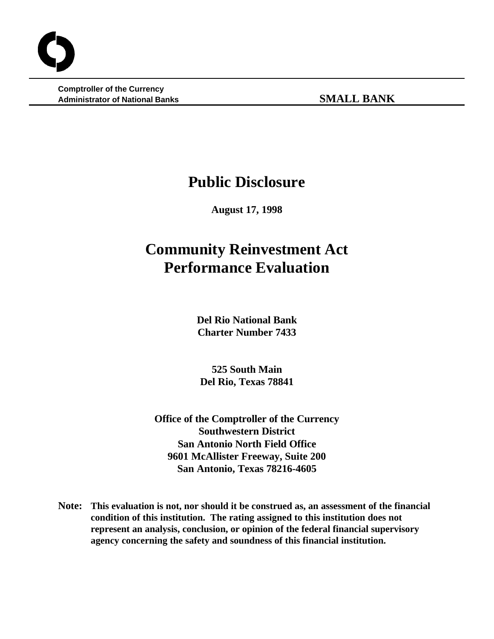**Comptroller of the Currency Administrator of National Banks SMALL BANK**

# **Public Disclosure**

**August 17, 1998**

# **Community Reinvestment Act Performance Evaluation**

**Del Rio National Bank Charter Number 7433**

**525 South Main Del Rio, Texas 78841**

**Office of the Comptroller of the Currency Southwestern District San Antonio North Field Office 9601 McAllister Freeway, Suite 200 San Antonio, Texas 78216-4605**

**Note: This evaluation is not, nor should it be construed as, an assessment of the financial condition of this institution. The rating assigned to this institution does not represent an analysis, conclusion, or opinion of the federal financial supervisory agency concerning the safety and soundness of this financial institution.**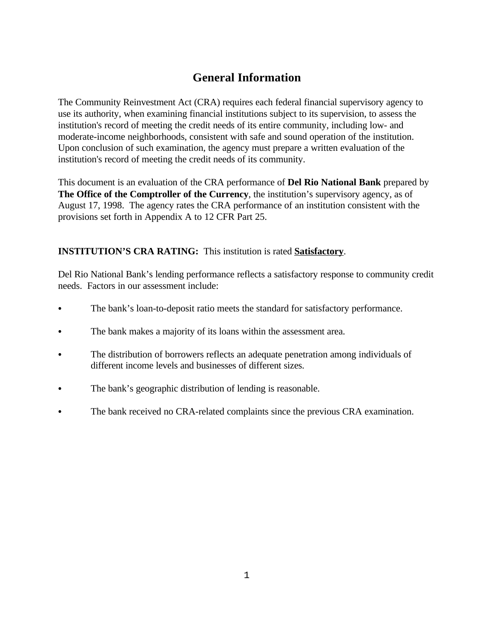# **General Information**

The Community Reinvestment Act (CRA) requires each federal financial supervisory agency to use its authority, when examining financial institutions subject to its supervision, to assess the institution's record of meeting the credit needs of its entire community, including low- and moderate-income neighborhoods, consistent with safe and sound operation of the institution. Upon conclusion of such examination, the agency must prepare a written evaluation of the institution's record of meeting the credit needs of its community.

This document is an evaluation of the CRA performance of **Del Rio National Bank** prepared by **The Office of the Comptroller of the Currency**, the institution's supervisory agency, as of August 17, 1998. The agency rates the CRA performance of an institution consistent with the provisions set forth in Appendix A to 12 CFR Part 25.

# **INSTITUTION'S CRA RATING:** This institution is rated **Satisfactory**.

Del Rio National Bank's lending performance reflects a satisfactory response to community credit needs. Factors in our assessment include:

- The bank's loan-to-deposit ratio meets the standard for satisfactory performance.
- The bank makes a majority of its loans within the assessment area.
- The distribution of borrowers reflects an adequate penetration among individuals of different income levels and businesses of different sizes.
- The bank's geographic distribution of lending is reasonable.
- The bank received no CRA-related complaints since the previous CRA examination.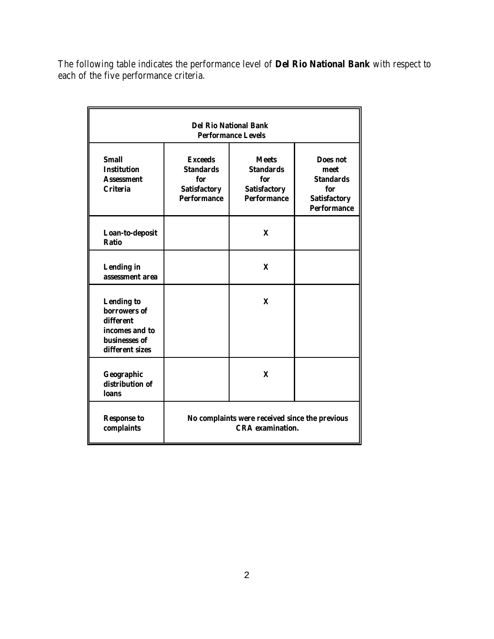The following table indicates the performance level of **Del Rio National Bank** with respect to each of the five performance criteria.

| <b>Del Rio National Bank</b><br><b>Performance Levels</b>                                            |                                                                                        |                                                                                      |                                                                                                 |  |  |  |  |  |  |
|------------------------------------------------------------------------------------------------------|----------------------------------------------------------------------------------------|--------------------------------------------------------------------------------------|-------------------------------------------------------------------------------------------------|--|--|--|--|--|--|
| <b>Small</b><br><b>Institution</b><br><b>Assessment</b><br><b>Criteria</b>                           | <b>Exceeds</b><br><b>Standards</b><br>for<br><b>Satisfactory</b><br><b>Performance</b> | <b>Meets</b><br><b>Standards</b><br>for<br><b>Satisfactory</b><br><b>Performance</b> | <b>Does not</b><br>meet<br><b>Standards</b><br>for<br><b>Satisfactory</b><br><b>Performance</b> |  |  |  |  |  |  |
| Loan-to-deposit<br><b>Ratio</b>                                                                      |                                                                                        | X                                                                                    |                                                                                                 |  |  |  |  |  |  |
| <b>Lending in</b><br>assessment area                                                                 |                                                                                        | $\mathbf{x}$                                                                         |                                                                                                 |  |  |  |  |  |  |
| <b>Lending to</b><br>borrowers of<br>different<br>incomes and to<br>businesses of<br>different sizes |                                                                                        | X                                                                                    |                                                                                                 |  |  |  |  |  |  |
| Geographic<br>distribution of<br><b>loans</b>                                                        |                                                                                        | $\mathbf x$                                                                          |                                                                                                 |  |  |  |  |  |  |
| <b>Response to</b><br>complaints                                                                     | No complaints were received since the previous<br><b>CRA</b> examination.              |                                                                                      |                                                                                                 |  |  |  |  |  |  |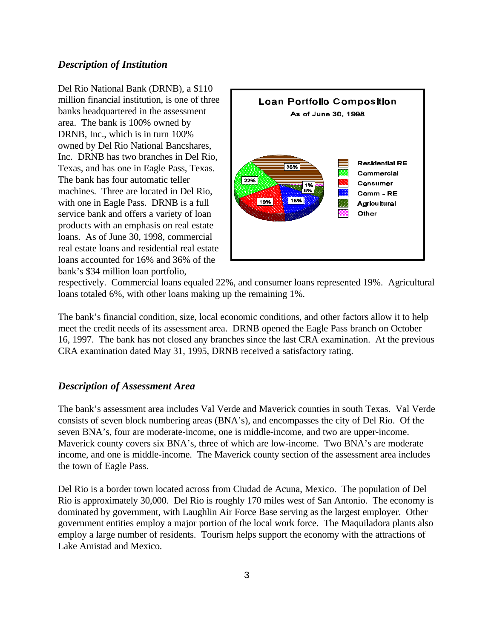#### *Description of Institution*

Del Rio National Bank (DRNB), a \$110 million financial institution, is one of three banks headquartered in the assessment area. The bank is 100% owned by DRNB, Inc., which is in turn 100% owned by Del Rio National Bancshares, Inc. DRNB has two branches in Del Rio, Texas, and has one in Eagle Pass, Texas. The bank has four automatic teller machines. Three are located in Del Rio, with one in Eagle Pass. DRNB is a full service bank and offers a variety of loan products with an emphasis on real estate loans. As of June 30, 1998, commercial real estate loans and residential real estate loans accounted for 16% and 36% of the bank's \$34 million loan portfolio,



respectively. Commercial loans equaled 22%, and consumer loans represented 19%. Agricultural loans totaled 6%, with other loans making up the remaining 1%.

The bank's financial condition, size, local economic conditions, and other factors allow it to help meet the credit needs of its assessment area. DRNB opened the Eagle Pass branch on October 16, 1997. The bank has not closed any branches since the last CRA examination. At the previous CRA examination dated May 31, 1995, DRNB received a satisfactory rating.

### *Description of Assessment Area*

The bank's assessment area includes Val Verde and Maverick counties in south Texas. Val Verde consists of seven block numbering areas (BNA's), and encompasses the city of Del Rio. Of the seven BNA's, four are moderate-income, one is middle-income, and two are upper-income. Maverick county covers six BNA's, three of which are low-income. Two BNA's are moderate income, and one is middle-income. The Maverick county section of the assessment area includes the town of Eagle Pass.

Del Rio is a border town located across from Ciudad de Acuna, Mexico. The population of Del Rio is approximately 30,000. Del Rio is roughly 170 miles west of San Antonio. The economy is dominated by government, with Laughlin Air Force Base serving as the largest employer. Other government entities employ a major portion of the local work force. The Maquiladora plants also employ a large number of residents. Tourism helps support the economy with the attractions of Lake Amistad and Mexico.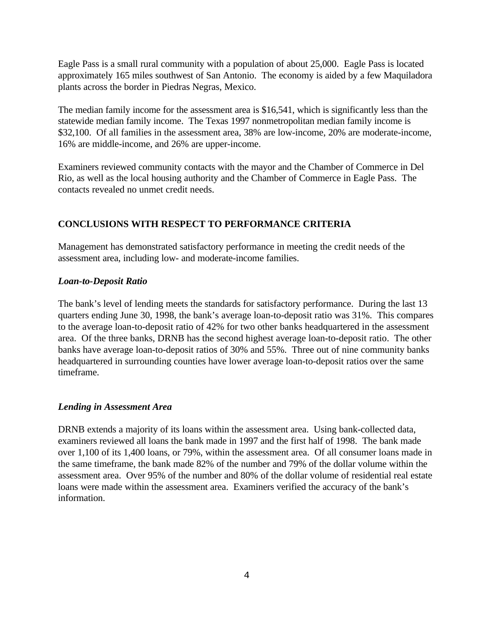Eagle Pass is a small rural community with a population of about 25,000. Eagle Pass is located approximately 165 miles southwest of San Antonio. The economy is aided by a few Maquiladora plants across the border in Piedras Negras, Mexico.

The median family income for the assessment area is \$16,541, which is significantly less than the statewide median family income. The Texas 1997 nonmetropolitan median family income is \$32,100. Of all families in the assessment area, 38% are low-income, 20% are moderate-income, 16% are middle-income, and 26% are upper-income.

Examiners reviewed community contacts with the mayor and the Chamber of Commerce in Del Rio, as well as the local housing authority and the Chamber of Commerce in Eagle Pass. The contacts revealed no unmet credit needs.

# **CONCLUSIONS WITH RESPECT TO PERFORMANCE CRITERIA**

Management has demonstrated satisfactory performance in meeting the credit needs of the assessment area, including low- and moderate-income families.

#### *Loan-to-Deposit Ratio*

The bank's level of lending meets the standards for satisfactory performance. During the last 13 quarters ending June 30, 1998, the bank's average loan-to-deposit ratio was 31%. This compares to the average loan-to-deposit ratio of 42% for two other banks headquartered in the assessment area. Of the three banks, DRNB has the second highest average loan-to-deposit ratio. The other banks have average loan-to-deposit ratios of 30% and 55%. Three out of nine community banks headquartered in surrounding counties have lower average loan-to-deposit ratios over the same timeframe.

### *Lending in Assessment Area*

DRNB extends a majority of its loans within the assessment area. Using bank-collected data, examiners reviewed all loans the bank made in 1997 and the first half of 1998. The bank made over 1,100 of its 1,400 loans, or 79%, within the assessment area. Of all consumer loans made in the same timeframe, the bank made 82% of the number and 79% of the dollar volume within the assessment area. Over 95% of the number and 80% of the dollar volume of residential real estate loans were made within the assessment area. Examiners verified the accuracy of the bank's information.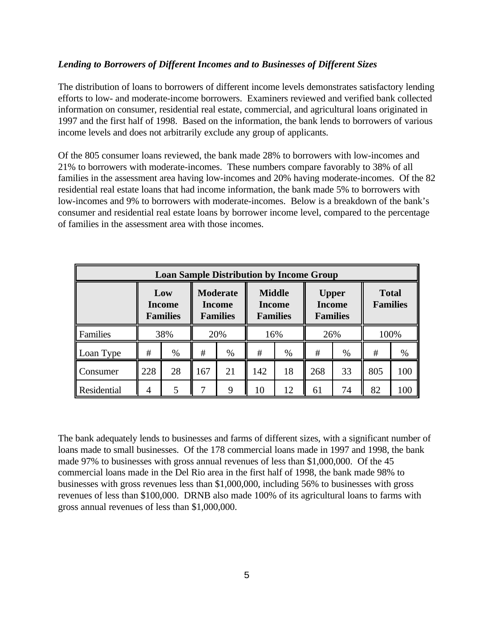#### *Lending to Borrowers of Different Incomes and to Businesses of Different Sizes*

The distribution of loans to borrowers of different income levels demonstrates satisfactory lending efforts to low- and moderate-income borrowers. Examiners reviewed and verified bank collected information on consumer, residential real estate, commercial, and agricultural loans originated in 1997 and the first half of 1998. Based on the information, the bank lends to borrowers of various income levels and does not arbitrarily exclude any group of applicants.

Of the 805 consumer loans reviewed, the bank made 28% to borrowers with low-incomes and 21% to borrowers with moderate-incomes. These numbers compare favorably to 38% of all families in the assessment area having low-incomes and 20% having moderate-incomes. Of the 82 residential real estate loans that had income information, the bank made 5% to borrowers with low-incomes and 9% to borrowers with moderate-incomes. Below is a breakdown of the bank's consumer and residential real estate loans by borrower income level, compared to the percentage of families in the assessment area with those incomes.

| <b>Loan Sample Distribution by Income Group</b> |                                         |      |                                                     |      |                                                   |      |                                                  |    |                                 |      |  |  |  |
|-------------------------------------------------|-----------------------------------------|------|-----------------------------------------------------|------|---------------------------------------------------|------|--------------------------------------------------|----|---------------------------------|------|--|--|--|
|                                                 | Low<br><b>Income</b><br><b>Families</b> |      | <b>Moderate</b><br><b>Income</b><br><b>Families</b> |      | <b>Middle</b><br><b>Income</b><br><b>Families</b> |      | <b>Upper</b><br><b>Income</b><br><b>Families</b> |    | <b>Total</b><br><b>Families</b> |      |  |  |  |
| Families                                        | 38%                                     |      | 20%                                                 |      | 16%                                               |      | 26%                                              |    | 100%                            |      |  |  |  |
| Loan Type                                       | #                                       | $\%$ | #                                                   | $\%$ | #                                                 | $\%$ | #                                                | %  | #                               | $\%$ |  |  |  |
| Consumer                                        | 228                                     | 28   | 167                                                 | 21   | 142                                               | 18   | 268                                              | 33 | 805                             | 100  |  |  |  |
| Residential                                     | 4                                       | 5    |                                                     | 9    | 10                                                | 12   | 61                                               | 74 | 82                              | 100  |  |  |  |

The bank adequately lends to businesses and farms of different sizes, with a significant number of loans made to small businesses. Of the 178 commercial loans made in 1997 and 1998, the bank made 97% to businesses with gross annual revenues of less than \$1,000,000. Of the 45 commercial loans made in the Del Rio area in the first half of 1998, the bank made 98% to businesses with gross revenues less than \$1,000,000, including 56% to businesses with gross revenues of less than \$100,000. DRNB also made 100% of its agricultural loans to farms with gross annual revenues of less than \$1,000,000.